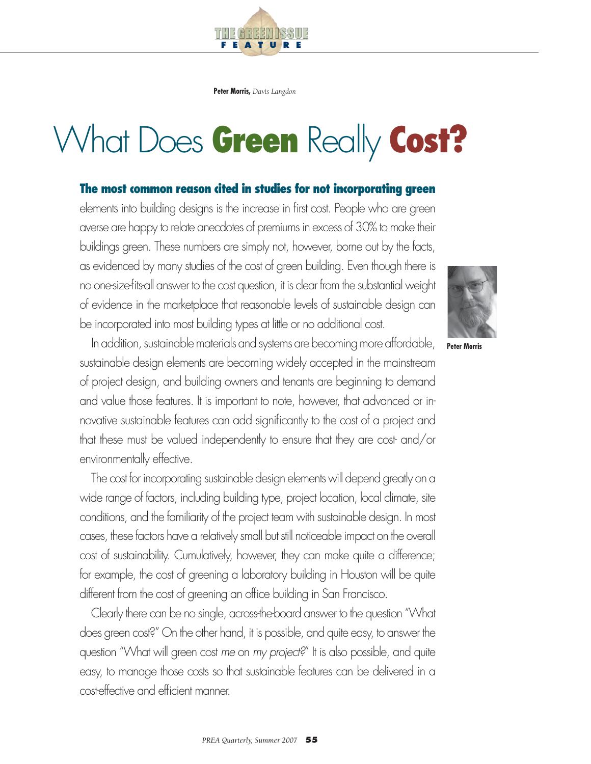**Peter Morris,** *Davis Langdon*

T HE GREEN ISSUE

**F E A T U R E**

# What Does **Green** Really **Cost?**

# **The most common reason cited in studies for not incorporating green**

elements into building designs is the increase in first cost. People who are green averse are happy to relate anecdotes of premiums in excess of 30% to make their buildings green. These numbers are simply not, however, borne out by the facts, as evidenced by many studies of the cost of green building. Even though there is no one-size-fits-all answer to the cost question, it is clear from the substantial weight of evidence in the marketplace that reasonable levels of sustainable design can be incorporated into most building types at little or no additional cost.



**Peter Morris**

In addition, sustainable materials and systems are becoming more affordable, sustainable design elements are becoming widely accepted in the mainstream of project design, and building owners and tenants are beginning to demand and value those features. It is important to note, however, that advanced or innovative sustainable features can add significantly to the cost of a project and that these must be valued independently to ensure that they are cost- and/or environmentally effective.

The cost for incorporating sustainable design elements will depend greatly on a wide range of factors, including building type, project location, local climate, site conditions, and the familiarity of the project team with sustainable design. In most cases, these factors have a relatively small but still noticeable impact on the overall cost of sustainability. Cumulatively, however, they can make quite a difference; for example, the cost of greening a laboratory building in Houston will be quite different from the cost of greening an office building in San Francisco.

Clearly there can be no single, across-the-board answer to the question "What does green cost?" On the other hand, it is possible, and quite easy, to answer the question "What will green cost *me* on *my project?*" It is also possible, and quite easy, to manage those costs so that sustainable features can be delivered in a cost-effective and efficient manner.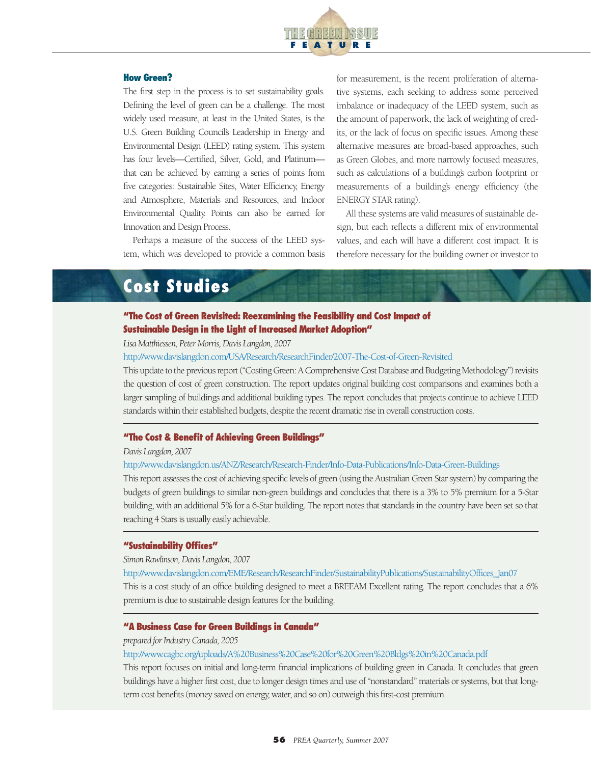

#### **How Green?**

The first step in the process is to set sustainability goals. Defining the level of green can be a challenge. The most widely used measure, at least in the United States, is the U.S. Green Building Council's Leadership in Energy and Environmental Design (LEED) rating system. This system has four levels—Certified, Silver, Gold, and Platinum that can be achieved by earning a series of points from five categories: Sustainable Sites, Water Efficiency, Energy and Atmosphere, Materials and Resources, and Indoor Environmental Quality. Points can also be earned for Innovation and Design Process.

Perhaps a measure of the success of the LEED system, which was developed to provide a common basis for measurement, is the recent proliferation of alternative systems, each seeking to address some perceived imbalance or inadequacy of the LEED system, such as the amount of paperwork, the lack of weighting of credits, or the lack of focus on specific issues. Among these alternative measures are broad-based approaches, such as Green Globes, and more narrowly focused measures, such as calculations of a building's carbon footprint or measurements of a building's energy efficiency (the ENERGY STAR rating).

All these systems are valid measures of sustainable design, but each reflects a different mix of environmental values, and each will have a different cost impact. It is therefore necessary for the building owner or investor to

# **Cost Studies**

### **"The Cost of Green Revisited: Reexamining the Feasibility and Cost Impact of Sustainable Design in the Light of Increased Market Adoption"**

#### *Lisa Matthiessen, Peter Morris, Davis Langdon, 2007*

#### http://www.davislangdon.com/USA/Research/ResearchFinder/2007-The-Cost-of-Green-Revisited

This update to the previous report ("Costing Green: A Comprehensive Cost Database and Budgeting Methodology") revisits the question of cost of green construction. The report updates original building cost comparisons and examines both a larger sampling of buildings and additional building types. The report concludes that projects continue to achieve LEED standards within their established budgets, despite the recent dramatic rise in overall construction costs.

#### **"The Cost & Benefit of Achieving Green Buildings"**

#### *Davis Langdon, 2007*

#### http://www.davislangdon.us/ANZ/Research/Research-Finder/Info-Data-Publications/Info-Data-Green-Buildings

This report assesses the cost of achieving specific levels of green (using the Australian Green Star system) by comparing the budgets of green buildings to similar non-green buildings and concludes that there is a 3% to 5% premium for a 5-Star building, with an additional 5% for a 6-Star building. The report notes that standards in the country have been set so that reaching 4 Stars is usually easily achievable.

#### **"Sustainability Offices"**

#### *Simon Rawlinson, Davis Langdon, 2007*

http://www.davislangdon.com/EME/Research/ResearchFinder/SustainabilityPublications/SustainabilityOffices\_Jan07

This is a cost study of an office building designed to meet a BREEAM Excellent rating. The report concludes that a 6% premium is due to sustainable design features for the building.

#### **"A Business Case for Green Buildings in Canada"**

#### *prepared for Industry Canada, 2005*

#### http://www.cagbc.org/uploads/A%20Business%20Case%20for%20Green%20Bldgs%20in%20Canada.pdf

This report focuses on initial and long-term financial implications of building green in Canada. It concludes that green buildings have a higher first cost, due to longer design times and use of "nonstandard" materials or systems, but that longterm cost benefits (money saved on energy, water, and so on) outweigh this first-cost premium.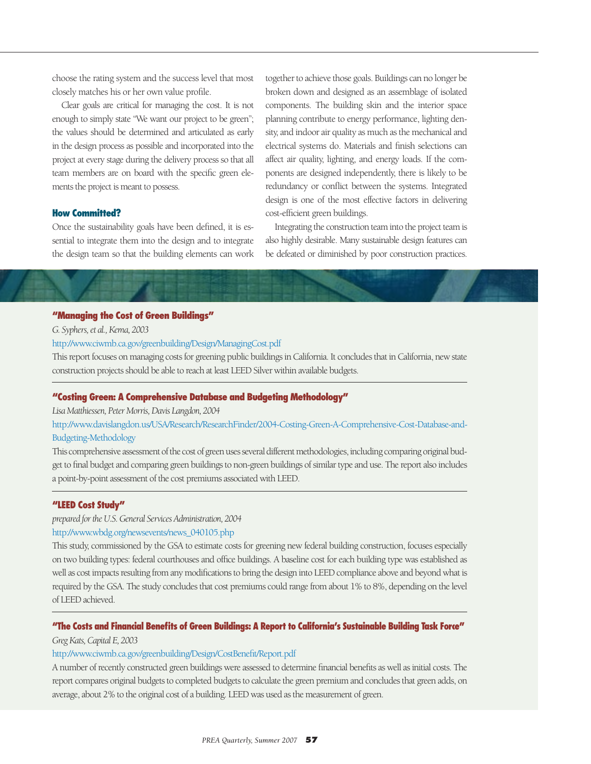choose the rating system and the success level that most closely matches his or her own value profile.

Clear goals are critical for managing the cost. It is not enough to simply state "We want our project to be green"; the values should be determined and articulated as early in the design process as possible and incorporated into the project at every stage during the delivery process so that all team members are on board with the specific green elements the project is meant to possess.

#### **How Committed?**

Once the sustainability goals have been defined, it is essential to integrate them into the design and to integrate the design team so that the building elements can work together to achieve those goals. Buildings can no longer be broken down and designed as an assemblage of isolated components. The building skin and the interior space planning contribute to energy performance, lighting density, and indoor air quality as much as the mechanical and electrical systems do. Materials and finish selections can affect air quality, lighting, and energy loads. If the components are designed independently, there is likely to be redundancy or conflict between the systems. Integrated design is one of the most effective factors in delivering cost-efficient green buildings.

Integrating the construction team into the project team is also highly desirable. Many sustainable design features can be defeated or diminished by poor construction practices.

#### **"Managing the Cost of Green Buildings"**

*G. Syphers, et al., Kema, 2003*

http://www.ciwmb.ca.gov/greenbuilding/Design/ManagingCost.pdf

This report focuses on managing costs for greening public buildings in California. It concludes that in California, new state construction projects should be able to reach at least LEED Silver within available budgets.

#### **"Costing Green: A Comprehensive Database and Budgeting Methodology"**

*Lisa Matthiessen, Peter Morris, Davis Langdon, 2004*

http://www.davislangdon.us/USA/Research/ResearchFinder/2004-Costing-Green-A-Comprehensive-Cost-Database-and-Budgeting-Methodology

This comprehensive assessment of the cost of green uses several different methodologies, including comparing original budget to final budget and comparing green buildings to non-green buildings of similar type and use. The report also includes a point-by-point assessment of the cost premiums associated with LEED.

#### **"LEED Cost Study"**

*prepared for the U.S. General Services Administration, 2004*

#### http://www.wbdg.org/newsevents/news\_040105.php

This study, commissioned by the GSA to estimate costs for greening new federal building construction, focuses especially on two building types: federal courthouses and office buildings. A baseline cost for each building type was established as well as cost impacts resulting from any modifications to bring the design into LEED compliance above and beyond what is required by the GSA. The study concludes that cost premiums could range from about 1% to 8%, depending on the level of LEED achieved.

# **"The Costs and Financial Benefits of Green Buildings: A Report to California's Sustainable Building Task Force"**

*Greg Kats, Capital E, 2003*

#### http://www.ciwmb.ca.gov/greenbuilding/Design/CostBenefit/Report.pdf

A number of recently constructed green buildings were assessed to determine financial benefits as well as initial costs. The report compares original budgets to completed budgets to calculate the green premium and concludes that green adds, on average, about 2% to the original cost of a building. LEED was used as the measurement of green.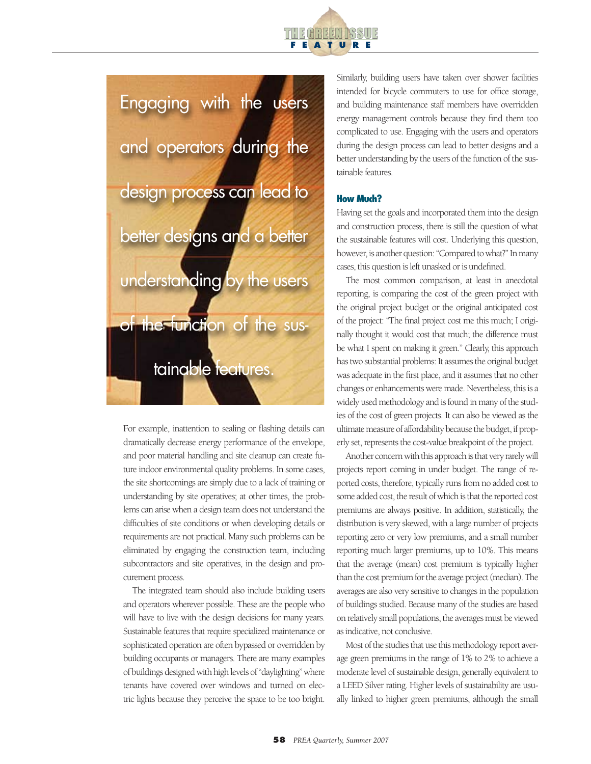



For example, inattention to sealing or flashing details can dramatically decrease energy performance of the envelope, and poor material handling and site cleanup can create future indoor environmental quality problems. In some cases, the site shortcomings are simply due to a lack of training or understanding by site operatives; at other times, the problems can arise when a design team does not understand the difficulties of site conditions or when developing details or requirements are not practical. Many such problems can be eliminated by engaging the construction team, including subcontractors and site operatives, in the design and procurement process.

The integrated team should also include building users and operators wherever possible. These are the people who will have to live with the design decisions for many years. Sustainable features that require specialized maintenance or sophisticated operation are often bypassed or overridden by building occupants or managers. There are many examples of buildings designed with high levels of "daylighting" where tenants have covered over windows and turned on electric lights because they perceive the space to be too bright.

Similarly, building users have taken over shower facilities intended for bicycle commuters to use for office storage, and building maintenance staff members have overridden energy management controls because they find them too complicated to use. Engaging with the users and operators during the design process can lead to better designs and a better understanding by the users of the function of the sustainable features.

#### **How Much?**

Having set the goals and incorporated them into the design and construction process, there is still the question of what the sustainable features will cost. Underlying this question, however, is another question: "Compared to what?" In many cases, this question is left unasked or is undefined.

The most common comparison, at least in anecdotal reporting, is comparing the cost of the green project with the original project budget or the original anticipated cost of the project: "The final project cost me this much; I originally thought it would cost that much; the difference must be what I spent on making it green." Clearly, this approach has two substantial problems: It assumes the original budget was adequate in the first place, and it assumes that no other changes or enhancements were made. Nevertheless, this is a widely used methodology and is found in many of the studies of the cost of green projects. It can also be viewed as the ultimate measure of affordability because the budget, if properly set, represents the cost-value breakpoint of the project.

Another concern with this approach is that very rarely will projects report coming in under budget. The range of reported costs, therefore, typically runs from no added cost to some added cost, the result of which is that the reported cost premiums are always positive. In addition, statistically, the distribution is very skewed, with a large number of projects reporting zero or very low premiums, and a small number reporting much larger premiums, up to 10%. This means that the average (mean) cost premium is typically higher than the cost premium for the average project (median). The averages are also very sensitive to changes in the population of buildings studied. Because many of the studies are based on relatively small populations, the averages must be viewed as indicative, not conclusive.

Most of the studies that use this methodology report average green premiums in the range of 1% to 2% to achieve a moderate level of sustainable design, generally equivalent to a LEED Silver rating. Higher levels of sustainability are usually linked to higher green premiums, although the small